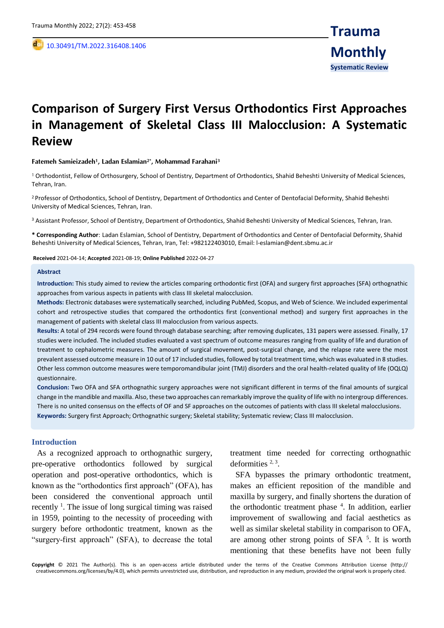,

# **Comparison of Surgery First Versus Orthodontics First Approaches in Management of Skeletal Class III Malocclusion: A Systematic Review**

#### **Fatemeh Samieizadeh<sup>1</sup> , Ladan Eslamian2\*, Mohammad Farahani<sup>3</sup>**

<sup>1</sup> Orthodontist, Fellow of Orthosurgery, School of Dentistry, Department of Orthodontics, Shahid Beheshti University of Medical Sciences, Tehran, Iran.

<sup>2</sup> Professor of Orthodontics, School of Dentistry, Department of Orthodontics and Center of Dentofacial Deformity, Shahid Beheshti University of Medical Sciences, Tehran, Iran.

<sup>3</sup> Assistant Professor, School of Dentistry, Department of Orthodontics, Shahid Beheshti University of Medical Sciences, Tehran, Iran.

**\* Corresponding Author**: Ladan Eslamian, School of Dentistry, Department of Orthodontics and Center of Dentofacial Deformity, Shahid Beheshti University of Medical Sciences, Tehran, Iran, Tel: +982122403010, Email: l-eslamian@dent.sbmu.ac.ir

#### **Received** 2021-04-14; **Accepted** 2021-08-19; **Online Published** 2022-04-27

#### **Abstract**

**Introduction:** This study aimed to review the articles comparing orthodontic first (OFA) and surgery first approaches (SFA) orthognathic approaches from various aspects in patients with class III skeletal malocclusion.

**Methods:** Electronic databases were systematically searched, including PubMed, Scopus, and Web of Science. We included experimental cohort and retrospective studies that compared the orthodontics first (conventional method) and surgery first approaches in the management of patients with skeletal class III malocclusion from various aspects.

**Results:** A total of 294 records were found through database searching; after removing duplicates, 131 papers were assessed. Finally, 17 studies were included. The included studies evaluated a vast spectrum of outcome measures ranging from quality of life and duration of treatment to cephalometric measures. The amount of surgical movement, post-surgical change, and the relapse rate were the most prevalent assessed outcome measure in 10 out of 17 included studies, followed by total treatment time, which was evaluated in 8 studies. Other less common outcome measures were temporomandibular joint (TMJ) disorders and the oral health-related quality of life (OQLQ) questionnaire.

**Conclusion:** Two OFA and SFA orthognathic surgery approaches were not significant different in terms of the final amounts of surgical change in the mandible and maxilla. Also, these two approaches can remarkably improve the quality of life with no intergroup differences. There is no united consensus on the effects of OF and SF approaches on the outcomes of patients with class III skeletal malocclusions. **Keywords:** Surgery first Approach; Orthognathic surgery; Skeletal stability; Systematic review; Class III malocclusion.

#### **Introduction**

As a recognized approach to orthognathic surgery, pre-operative orthodontics followed by surgical operation and post-operative orthodontics, which is known as the "orthodontics first approach" (OFA), has been considered the conventional approach until recently  $\frac{1}{1}$ . The issue of long surgical timing was raised in 1959, pointing to the necessity of proceeding with surgery before orthodontic treatment, known as the "surgery-first approach" (SFA), to decrease the total

treatment time needed for correcting orthognathic deformities  $2, 3$ .

SFA bypasses the primary orthodontic treatment, makes an efficient reposition of the mandible and maxilla by surgery, and finally shortens the duration of the orthodontic treatment phase <sup>4</sup>. In addition, earlier improvement of swallowing and facial aesthetics as well as similar skeletal stability in comparison to OFA, are among other strong points of SFA  $5$ . It is worth mentioning that these benefits have not been fully

**Copyright** © 2021 The Author(s). This is an open-access article distributed under the terms of the Creative Commons Attribution License (http:// creativecommons.org/licenses/by/4.0), which permits unrestricted use, distribution, and reproduction in any medium, provided the original work is properly cited.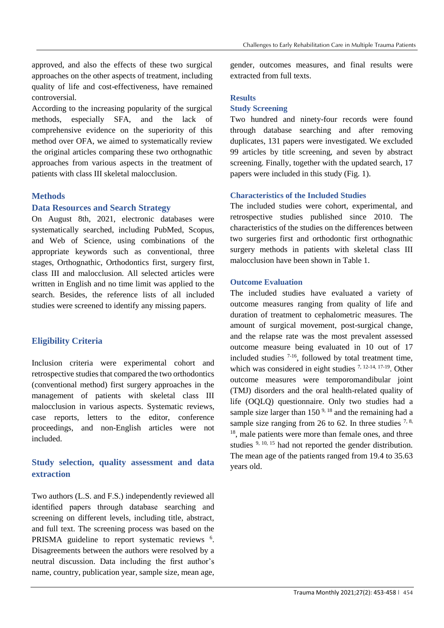approved, and also the effects of these two surgical approaches on the other aspects of treatment, including quality of life and cost-effectiveness, have remained controversial.

According to the increasing popularity of the surgical methods, especially SFA, and the lack of comprehensive evidence on the superiority of this method over OFA, we aimed to systematically review the original articles comparing these two orthognathic approaches from various aspects in the treatment of patients with class III skeletal malocclusion.

## **Methods**

## **Data Resources and Search Strategy**

On August 8th, 2021, electronic databases were systematically searched, including PubMed, Scopus, and Web of Science, using combinations of the appropriate keywords such as conventional, three stages, Orthognathic, Orthodontics first, surgery first, class III and malocclusion. All selected articles were written in English and no time limit was applied to the search. Besides, the reference lists of all included studies were screened to identify any missing papers.

## **Eligibility Criteria**

Inclusion criteria were experimental cohort and retrospective studies that compared the two orthodontics (conventional method) first surgery approaches in the management of patients with skeletal class III malocclusion in various aspects. Systematic reviews, case reports, letters to the editor, conference proceedings, and non-English articles were not included.

# **Study selection, quality assessment and data extraction**

Two authors (L.S. and F.S.) independently reviewed all identified papers through database searching and screening on different levels, including title, abstract, and full text. The screening process was based on the PRISMA guideline to report systematic reviews <sup>6</sup>. Disagreements between the authors were resolved by a neutral discussion. Data including the first author's name, country, publication year, sample size, mean age,

gender, outcomes measures, and final results were extracted from full texts.

## **Results**

#### **Study Screening**

Two hundred and ninety-four records were found through database searching and after removing duplicates, 131 papers were investigated. We excluded 99 articles by title screening, and seven by abstract screening. Finally, together with the updated search, 17 papers were included in this study (Fig. 1).

#### **Characteristics of the Included Studies**

The included studies were cohort, experimental, and retrospective studies published since 2010. The characteristics of the studies on the differences between two surgeries first and orthodontic first orthognathic surgery methods in patients with skeletal class III malocclusion have been shown in Table 1.

## **Outcome Evaluation**

The included studies have evaluated a variety of outcome measures ranging from quality of life and duration of treatment to cephalometric measures. The amount of surgical movement, post-surgical change, and the relapse rate was the most prevalent assessed outcome measure being evaluated in 10 out of 17 included studies  $7-16$ , followed by total treatment time, which was considered in eight studies <sup>7, 12-14, 17-19</sup>. Other outcome measures were temporomandibular joint (TMJ) disorders and the oral health-related quality of life (OQLQ) questionnaire. Only two studies had a sample size larger than  $150^{9,18}$  and the remaining had a sample size ranging from 26 to 62. In three studies  $^{7, 8}$ , <sup>18</sup>, male patients were more than female ones, and three studies  $9, 10, 15$  had not reported the gender distribution. The mean age of the patients ranged from 19.4 to 35.63 years old.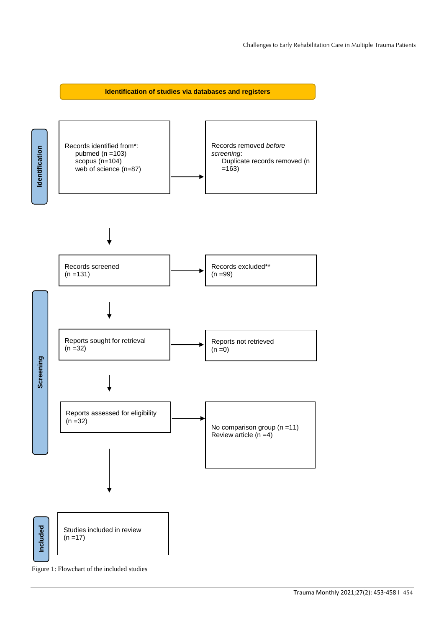

Figure 1: Flowchart of the included studies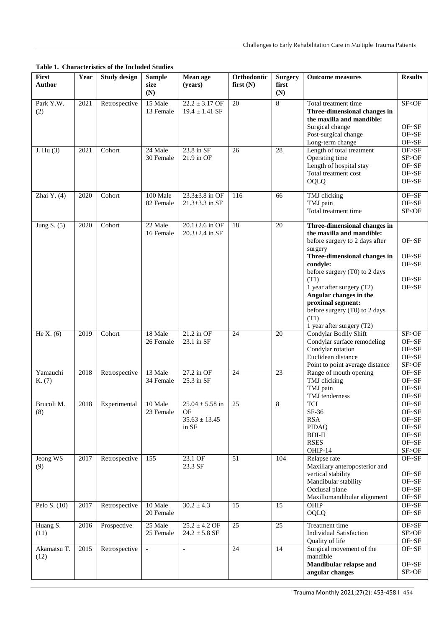**Table 1. Characteristics of the Included Studies**

| First<br><b>Author</b> | Year | <b>Study design</b> | <b>Sample</b><br>size<br>(N) | Mean age<br>(years)                                     | Orthodontic<br>first $(N)$ | <b>Surgery</b><br>first<br>(N) | <b>Outcome measures</b>                                                                                                                                                                                                                                                                                                                       | <b>Results</b>                                                  |
|------------------------|------|---------------------|------------------------------|---------------------------------------------------------|----------------------------|--------------------------------|-----------------------------------------------------------------------------------------------------------------------------------------------------------------------------------------------------------------------------------------------------------------------------------------------------------------------------------------------|-----------------------------------------------------------------|
| Park Y.W.<br>(2)       | 2021 | Retrospective       | 15 Male<br>13 Female         | $22.2 \pm 3.17$ OF<br>$19.4 \pm 1.41$ SF                | 20                         | 8                              | Total treatment time<br>Three-dimensional changes in<br>the maxilla and mandible:<br>Surgical change<br>Post-surgical change<br>Long-term change                                                                                                                                                                                              | SF <of<br><math>OF~S</math>F<br/>OF~SF<br/>OF~SF</of<br>        |
| J. Hu $(3)$            | 2021 | Cohort              | 24 Male<br>30 Female         | 23.8 in SF<br>21.9 in OF                                | 26                         | 28                             | Length of total treatment<br>Operating time<br>Length of hospital stay<br>Total treatment cost<br><b>OQLQ</b>                                                                                                                                                                                                                                 | OF>SF<br>SF>OF<br>OF~SF<br>$OF-SF$<br>$OF-SF$                   |
| Zhai $Y. (4)$          | 2020 | Cohort              | 100 Male<br>82 Female        | $23.3 \pm 3.8$ in OF<br>$21.3 \pm 3.3$ in SF            | 116                        | 66                             | TMJ clicking<br>TMJ pain<br>Total treatment time                                                                                                                                                                                                                                                                                              | $OF-SF$<br>$OF-SF$<br>SF <of< td=""></of<>                      |
| Jung $S. (5)$          | 2020 | Cohort              | 22 Male<br>16 Female         | $20.1 \pm 2.6$ in OF<br>$20.3 \pm 2.4$ in SF            | 18                         | 20                             | Three-dimensional changes in<br>the maxilla and mandible:<br>before surgery to 2 days after<br>surgery<br>Three-dimensional changes in<br>condyle:<br>before surgery (T0) to 2 days<br>(T1)<br>1 year after surgery (T2)<br>Angular changes in the<br>proximal segment:<br>before surgery (T0) to 2 days<br>(T1)<br>1 year after surgery (T2) | OF~SF<br>OF~SF<br>OF~SF<br>OF~SF<br>OF~SF                       |
| He X. $(6)$            | 2019 | Cohort              | 18 Male<br>26 Female         | $21.2$ in OF<br>23.1 in SF                              | 24                         | 20                             | Condylar Bodily Shift<br>Condylar surface remodeling<br>Condylar rotation<br>Euclidean distance<br>Point to point average distance                                                                                                                                                                                                            | SF>OF<br>OF~SF<br>OF~SF<br>$OF-SF$<br>SF>OF                     |
| Yamauchi<br>K. (7)     | 2018 | Retrospective       | 13 Male<br>34 Female         | 27.2 in OF<br>25.3 in SF                                | 24                         | 23                             | Range of mouth opening<br>TMJ clicking<br>TMJ pain<br>TMJ tenderness                                                                                                                                                                                                                                                                          | OF~SF<br>$OF-SF$<br>OF~SF<br>$OF~S$ F                           |
| Brucoli M.<br>(8)      | 2018 | Experimental        | 10 Male<br>23 Female         | $25.04 \pm 5.58$ in<br>OF<br>$35.63 \pm 13.45$<br>in SF | 25                         | 8                              | <b>TCI</b><br>SF-36<br><b>RSA</b><br>PIDAQ<br><b>BDI-II</b><br><b>RSES</b><br>OHIP-14                                                                                                                                                                                                                                                         | OF~SF<br>OF~SF<br>OF~SF<br>OF~SF<br>$OF-SF$<br>OF~SF<br>SF > OF |
| Jeong WS<br>(9)        | 2017 | Retrospective       | 155                          | 23.1 OF<br>23.3 SF                                      | 51                         | 104                            | Relapse rate<br>Maxillary anteroposterior and<br>vertical stability<br>Mandibular stability<br>Occlusal plane<br>Maxillomandibular alignment                                                                                                                                                                                                  | $OF-SF$<br>OF~SF<br>OF~SF<br>OF~SF<br>OF~SF                     |
| Pelo S. $(10)$         | 2017 | Retrospective       | 10 Male<br>20 Female         | $30.2 \pm 4.3$                                          | 15                         | 15                             | OHIP<br>OQLQ                                                                                                                                                                                                                                                                                                                                  | $OF-SF$<br>OF~SF                                                |
| Huang S.<br>(11)       | 2016 | Prospective         | 25 Male<br>25 Female         | $25.2 \pm 4.2$ OF<br>$24.2 \pm 5.8$ SF                  | 25                         | $\overline{25}$                | Treatment time<br><b>Individual Satisfaction</b><br>Quality of life                                                                                                                                                                                                                                                                           | OF>SF<br>SF>OF<br>OF~SF                                         |
| Akamatsu T.<br>(12)    | 2015 | Retrospective       | $\overline{\phantom{a}}$     | $\frac{1}{2}$                                           | $\overline{24}$            | 14                             | Surgical movement of the<br>mandible<br>Mandibular relapse and<br>angular changes                                                                                                                                                                                                                                                             | OF~SF<br>OF~SF<br>SF>OF                                         |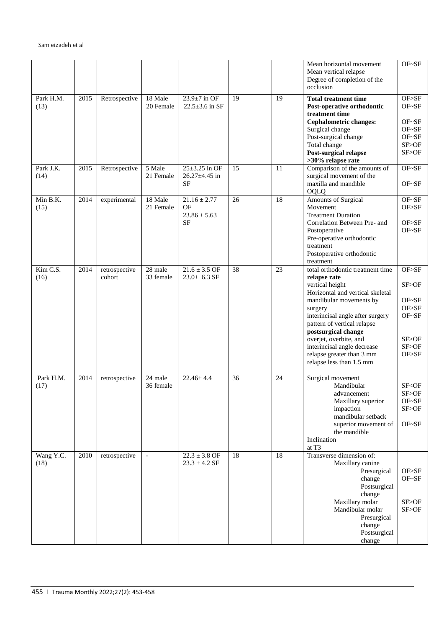|                   |      |                         |                          |                                                         |    |    | Mean horizontal movement<br>Mean vertical relapse<br>Degree of completion of the<br>occlusion                                                                                                                                                                                                                                                             | OF~SF                                                                  |
|-------------------|------|-------------------------|--------------------------|---------------------------------------------------------|----|----|-----------------------------------------------------------------------------------------------------------------------------------------------------------------------------------------------------------------------------------------------------------------------------------------------------------------------------------------------------------|------------------------------------------------------------------------|
| Park H.M.<br>(13) | 2015 | Retrospective           | 18 Male<br>20 Female     | $23.9 \pm 7$ in OF<br>$22.5 \pm 3.6$ in SF              | 19 | 19 | <b>Total treatment time</b><br>Post-operative orthodontic<br>treatment time<br><b>Cephalometric changes:</b><br>Surgical change<br>Post-surgical change<br>Total change<br>Post-surgical relapse<br>>30% relapse rate                                                                                                                                     | OF>SF<br>$OF~S$ F<br>$OF~S$ F<br>$OF~S$ F<br>OF~SF<br>SF>OF<br>SF>OF   |
| Park J.K.<br>(14) | 2015 | Retrospective           | 5 Male<br>21 Female      | $25 \pm 3.25$ in OF<br>$26.27 \pm 4.45$ in<br><b>SF</b> | 15 | 11 | Comparison of the amounts of<br>surgical movement of the<br>maxilla and mandible<br>OQLQ                                                                                                                                                                                                                                                                  | OF~SF<br>OF~SF                                                         |
| Min B.K.<br>(15)  | 2014 | experimental            | 18 Male<br>21 Female     | $21.16 \pm 2.77$<br>OF<br>$23.86 \pm 5.63$<br>SF        | 26 | 18 | <b>Amounts of Surgical</b><br>Movement<br><b>Treatment Duration</b><br>Correlation Between Pre- and<br>Postoperative<br>Pre-operative orthodontic<br>treatment<br>Postoperative orthodontic<br>treatment                                                                                                                                                  | OF~SF<br>OF>SF<br>OF>SF<br>OF~SF                                       |
| Kim C.S.<br>(16)  | 2014 | retrospective<br>cohort | 28 male<br>33 female     | $21.6 \pm 3.5$ OF<br>$23.0 \pm 6.3$ SF                  | 38 | 23 | total orthodontic treatment time<br>relapse rate<br>vertical height<br>Horizontal and vertical skeletal<br>mandibular movements by<br>surgery<br>interincisal angle after surgery<br>pattern of vertical relapse<br>postsurgical change<br>overjet, overbite, and<br>interincisal angle decrease<br>relapse greater than 3 mm<br>relapse less than 1.5 mm | OF>SF<br>SF>OF<br>OF~SF<br>OF>SF<br>OF~SF<br>SF > OF<br>SF>OF<br>OF>SF |
| Park H.M.<br>(17) | 2014 | retrospective           | 24 male<br>36 female     | $22.46 + 4.4$                                           | 36 | 24 | Surgical movement<br>Mandibular<br>advancement<br>Maxillary superior<br>impaction<br>mandibular setback<br>superior movement of<br>the mandible<br>Inclination<br>at T <sub>3</sub>                                                                                                                                                                       | SF <of<br>SF&gt;OF<br/>OF~SF<br/>SF &gt; OF<br/>OF~SF</of<br>          |
| Wang Y.C.<br>(18) | 2010 | retrospective           | $\overline{\phantom{a}}$ | $22.3 \pm 3.8$ OF<br>$23.3 \pm 4.2$ SF                  | 18 | 18 | Transverse dimension of:<br>Maxillary canine<br>Presurgical<br>change<br>Postsurgical<br>change<br>Maxillary molar<br>Mandibular molar<br>Presurgical<br>change<br>Postsurgical<br>change                                                                                                                                                                 | OF>SF<br>OF~SF<br>SF>OF<br>SF>OF                                       |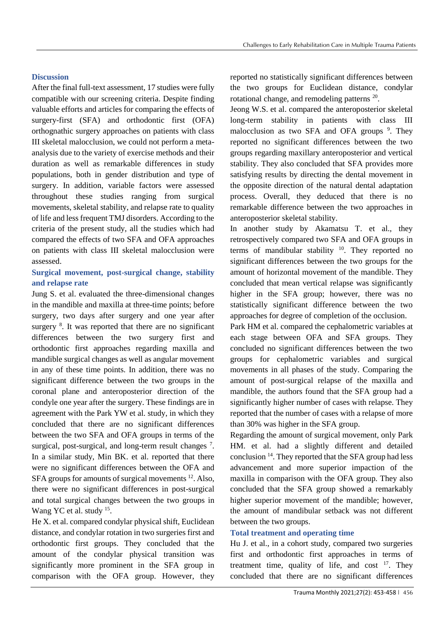# **Discussion**

After the final full-text assessment, 17 studies were fully compatible with our screening criteria. Despite finding valuable efforts and articles for comparing the effects of surgery-first (SFA) and orthodontic first (OFA) orthognathic surgery approaches on patients with class III skeletal malocclusion, we could not perform a metaanalysis due to the variety of exercise methods and their duration as well as remarkable differences in study populations, both in gender distribution and type of surgery. In addition, variable factors were assessed throughout these studies ranging from surgical movements, skeletal stability, and relapse rate to quality of life and less frequent TMJ disorders. According to the criteria of the present study, all the studies which had compared the effects of two SFA and OFA approaches on patients with class III skeletal malocclusion were assessed.

# **Surgical movement, post-surgical change, stability and relapse rate**

Jung S. et al. evaluated the three-dimensional changes in the mandible and maxilla at three-time points; before surgery, two days after surgery and one year after surgery <sup>8</sup>. It was reported that there are no significant differences between the two surgery first and orthodontic first approaches regarding maxilla and mandible surgical changes as well as angular movement in any of these time points. In addition, there was no significant difference between the two groups in the coronal plane and anteroposterior direction of the condyle one year after the surgery. These findings are in agreement with the Park YW et al. study, in which they concluded that there are no significant differences between the two SFA and OFA groups in terms of the surgical, post-surgical, and long-term result changes<sup>7</sup>. In a similar study, Min BK. et al. reported that there were no significant differences between the OFA and SFA groups for amounts of surgical movements <sup>12</sup>. Also, there were no significant differences in post-surgical and total surgical changes between the two groups in Wang YC et al. study <sup>15</sup>.

He X. et al. compared condylar physical shift, Euclidean distance, and condylar rotation in two surgeries first and orthodontic first groups. They concluded that the amount of the condylar physical transition was significantly more prominent in the SFA group in comparison with the OFA group. However, they

reported no statistically significant differences between the two groups for Euclidean distance, condylar rotational change, and remodeling patterns<sup>20</sup>.

Jeong W.S. et al. compared the anteroposterior skeletal long-term stability in patients with class III malocclusion as two SFA and OFA groups<sup>9</sup>. They reported no significant differences between the two groups regarding maxillary anteroposterior and vertical stability. They also concluded that SFA provides more satisfying results by directing the dental movement in the opposite direction of the natural dental adaptation process. Overall, they deduced that there is no remarkable difference between the two approaches in anteroposterior skeletal stability.

In another study by Akamatsu T. et al., they retrospectively compared two SFA and OFA groups in terms of mandibular stability  $10$ . They reported no significant differences between the two groups for the amount of horizontal movement of the mandible. They concluded that mean vertical relapse was significantly higher in the SFA group; however, there was no statistically significant difference between the two approaches for degree of completion of the occlusion.

Park HM et al. compared the cephalometric variables at each stage between OFA and SFA groups. They concluded no significant differences between the two groups for cephalometric variables and surgical movements in all phases of the study. Comparing the amount of post-surgical relapse of the maxilla and mandible, the authors found that the SFA group had a significantly higher number of cases with relapse. They reported that the number of cases with a relapse of more than 30% was higher in the SFA group.

Regarding the amount of surgical movement, only Park HM. et al. had a slightly different and detailed conclusion <sup>14</sup>. They reported that the SFA group had less advancement and more superior impaction of the maxilla in comparison with the OFA group. They also concluded that the SFA group showed a remarkably higher superior movement of the mandible; however, the amount of mandibular setback was not different between the two groups.

# **Total treatment and operating time**

Hu J. et al., in a cohort study, compared two surgeries first and orthodontic first approaches in terms of treatment time, quality of life, and cost  $17$ . They concluded that there are no significant differences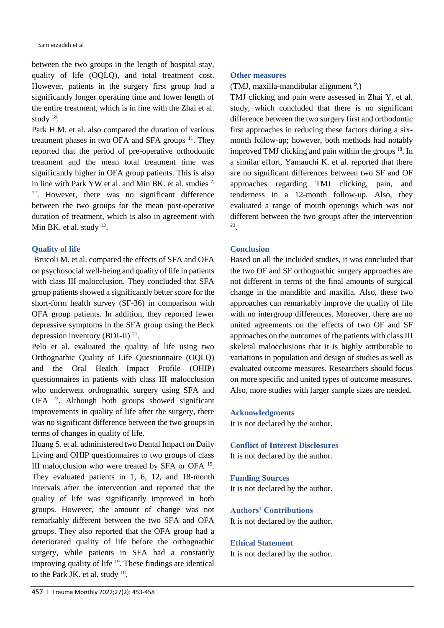between the two groups in the length of hospital stay, quality of life (OQLQ), and total treatment cost. However, patients in the surgery first group had a significantly longer operating time and lower length of the entire treatment, which is in line with the Zhai et al. study  $18$ .

Park H.M. et al. also compared the duration of various treatment phases in two OFA and SFA groups  $11$ . They reported that the period of pre-operative orthodontic treatment and the mean total treatment time was significantly higher in OFA group patients. This is also in line with Park YW et al. and Min BK. et al. studies <sup>7,</sup> <sup>12</sup>. However, there was no significant difference between the two groups for the mean post-operative duration of treatment, which is also in agreement with Min BK. et al. study  $12$ .

#### **Quality of life**

Brucoli M. et al. compared the effects of SFA and OFA on psychosocial well-being and quality of life in patients with class III malocclusion. They concluded that SFA group patients showed a significantly better score for the short-form health survey (SF-36) in comparison with OFA group patients. In addition, they reported fewer depressive symptoms in the SFA group using the Beck depression inventory (BDI-II) $^{21}$ .

Pelo et al. evaluated the quality of life using two Orthognathic Quality of Life Questionnaire (OQLQ) and the Oral Health Impact Profile (OHIP) questionnaires in patients with class III malocclusion who underwent orthognathic surgery using SFA and OFA <sup>22</sup>. Although both groups showed significant improvements in quality of life after the surgery, there was no significant difference between the two groups in terms of changes in quality of life.

Huang S. et al. administered two Dental Impact on Daily Living and OHIP questionnaires to two groups of class III malocclusion who were treated by SFA or OFA<sup>19</sup>. They evaluated patients in 1, 6, 12, and 18-month intervals after the intervention and reported that the quality of life was significantly improved in both groups. However, the amount of change was not remarkably different between the two SFA and OFA groups. They also reported that the OFA group had a deteriorated quality of life before the orthognathic surgery, while patients in SFA had a constantly improving quality of life  $19$ . These findings are identical to the Park JK. et al. study  $16$ .

#### **Other measures**

#### (TMJ, maxilla-mandibular alignment<sup>9</sup>,)

TMJ clicking and pain were assessed in Zhai Y. et al. study, which concluded that there is no significant difference between the two surgery first and orthodontic first approaches in reducing these factors during a sixmonth follow-up; however, both methods had notably improved TMJ clicking and pain within the groups  $18$ . In a similar effort, Yamauchi K. et al. reported that there are no significant differences between two SF and OF approaches regarding TMJ clicking, pain, and tenderness in a 12-month follow-up. Also, they evaluated a range of mouth openings which was not different between the two groups after the intervention 23 .

#### **Conclusion**

Based on all the included studies, it was concluded that the two OF and SF orthognathic surgery approaches are not different in terms of the final amounts of surgical change in the mandible and maxilla. Also, these two approaches can remarkably improve the quality of life with no intergroup differences. Moreover, there are no united agreements on the effects of two OF and SF approaches on the outcomes of the patients with class III skeletal malocclusions that it is highly attributable to variations in population and design of studies as well as evaluated outcome measures. Researchers should focus on more specific and united types of outcome measures. Also, more studies with larger sample sizes are needed.

**Acknowledgments** It is not declared by the author.

**Conflict of Interest Disclosures** It is not declared by the author.

**Funding Sources** It is not declared by the author.

#### **Authors' Contributions**

It is not declared by the author.

#### **Ethical Statement**

It is not declared by the author.